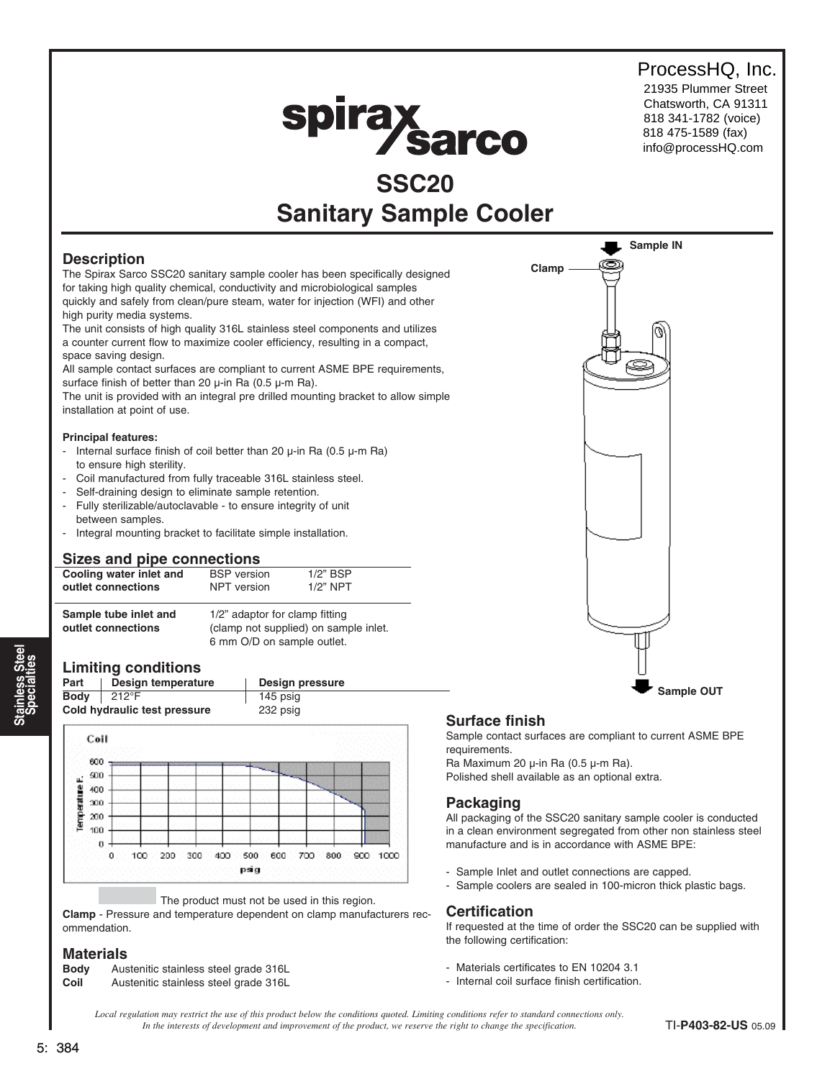# ProcessHQ, Inc.

21935 Plummer Street Chatsworth, CA 91311 818 341-1782 (voice) 818 475-1589 (fax) info@processHQ.com

# spirax sarco

# **SSC20 Sanitary Sample Cooler**

# **Description**

The Spirax Sarco SSC20 sanitary sample cooler has been specifically designed for taking high quality chemical, conductivity and microbiological samples quickly and safely from clean/pure steam, water for injection (WFI) and other high purity media systems.

The unit consists of high quality 316L stainless steel components and utilizes a counter current flow to maximize cooler efficiency, resulting in a compact, space saving design.

All sample contact surfaces are compliant to current ASME BPE requirements, surface finish of better than 20  $\mu$ -in Ra (0.5  $\mu$ -m Ra).

The unit is provided with an integral pre drilled mounting bracket to allow simple installation at point of use.

#### **Principal features:**

- Internal surface finish of coil better than 20  $\mu$ -in Ra (0.5  $\mu$ -m Ra) to ensure high sterility.
- Coil manufactured from fully traceable 316L stainless steel.
- Self-draining design to eliminate sample retention.
- Fully sterilizable/autoclavable to ensure integrity of unit between samples.
- Integral mounting bracket to facilitate simple installation.

# **Sizes and pipe connections**

| Cooling water inlet and | <b>BSP</b> version                    | $1/2$ " BSP |  |  |  |  |  |
|-------------------------|---------------------------------------|-------------|--|--|--|--|--|
| outlet connections      | NPT version                           | $1/2$ " NPT |  |  |  |  |  |
| Sample tube inlet and   | 1/2" adaptor for clamp fitting        |             |  |  |  |  |  |
| outlet connections      | (clamp not supplied) on sample inlet. |             |  |  |  |  |  |

#### **Limiting conditions**

| Part        | Design temperature           | Design pressure |
|-------------|------------------------------|-----------------|
| <b>Body</b> | $212^{\circ}F$               | 145 psig        |
|             | Cold hydraulic test pressure | 232 psig        |

6 mm O/D on sample outlet.



#### The product must not be used in this region.

**Clamp** - Pressure and temperature dependent on clamp manufacturers recommendation.

#### **Materials**

| <b>Body</b> | Austenitic stainless steel grade 316L |
|-------------|---------------------------------------|
| Coil        | Austenitic stainless steel grade 316L |



# **Surface finish**

Sample contact surfaces are compliant to current ASME BPE requirements.

Ra Maximum 20 µ-in Ra (0.5 µ-m Ra).

# Polished shell available as an optional extra.

# **Packaging**

All packaging of the SSC20 sanitary sample cooler is conducted in a clean environment segregated from other non stainless steel manufacture and is in accordance with ASME BPE:

- Sample Inlet and outlet connections are capped.
- Sample coolers are sealed in 100-micron thick plastic bags.

# **Certification**

If requested at the time of order the SSC20 can be supplied with the following certification:

- Materials certificates to EN 10204 3.1
- Internal coil surface finish certification.

*Local regulation may restrict the use of this product below the conditions quoted. Limiting conditions refer to standard connections only. In the interests of development and improvement of the product, we reserve the right to change the specification.* TI-**P403-82-US** 05.09